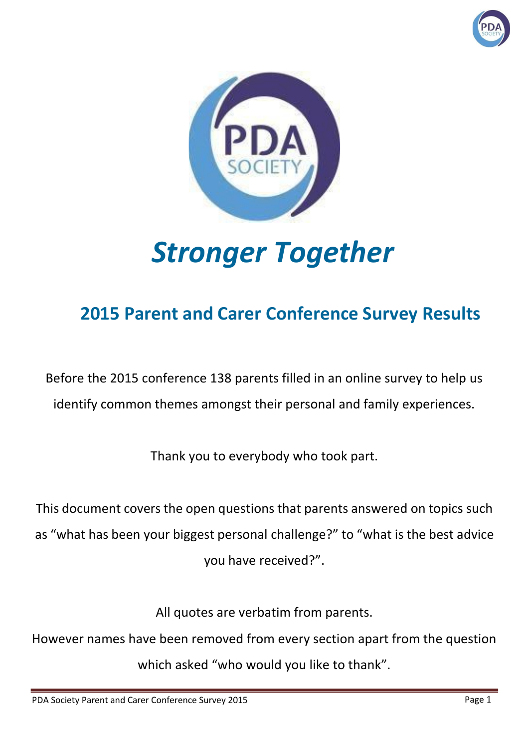



# *Stronger Together*

# **2015 Parent and Carer Conference Survey Results**

Before the 2015 conference 138 parents filled in an online survey to help us identify common themes amongst their personal and family experiences.

Thank you to everybody who took part.

This document covers the open questions that parents answered on topics such as "what has been your biggest personal challenge?" to "what is the best advice you have received?".

All quotes are verbatim from parents.

However names have been removed from every section apart from the question which asked "who would you like to thank".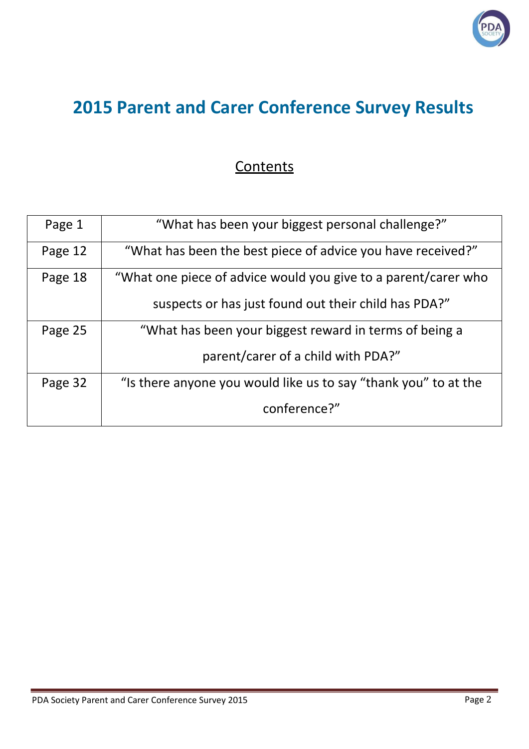

## **2015 Parent and Carer Conference Survey Results**

#### **Contents**

| Page 1  | "What has been your biggest personal challenge?"                |
|---------|-----------------------------------------------------------------|
| Page 12 | "What has been the best piece of advice you have received?"     |
| Page 18 | "What one piece of advice would you give to a parent/carer who  |
|         | suspects or has just found out their child has PDA?"            |
| Page 25 | "What has been your biggest reward in terms of being a          |
|         | parent/carer of a child with PDA?"                              |
| Page 32 | "Is there anyone you would like us to say "thank you" to at the |
|         | conference?"                                                    |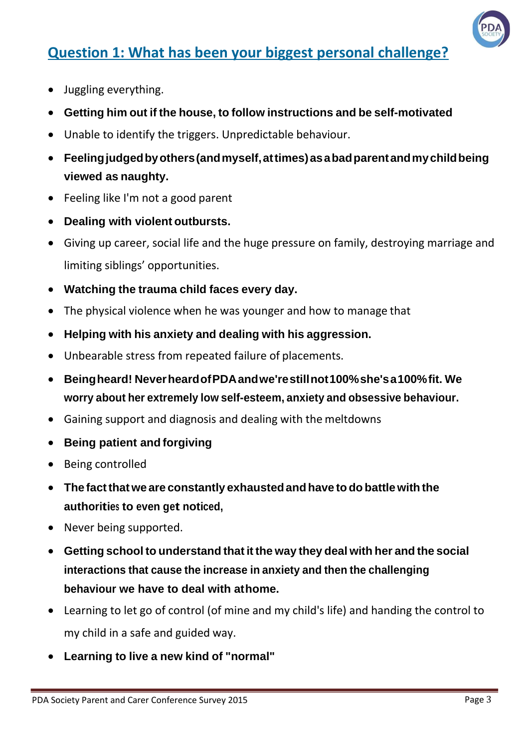

## **Question 1: What has been your biggest personal challenge?**

- Juggling everything.
- **Getting him out if the house, to follow instructions and be self-motivated**
- Unable to identify the triggers. Unpredictable behaviour.
- **Feelingjudgedbyothers(andmyself,attimes)asabadparentandmychildbeing viewed as naughty.**
- Feeling like I'm not a good parent
- **Dealing with violent outbursts.**
- Giving up career, social life and the huge pressure on family, destroying marriage and limiting siblings' opportunities.
- **Watching the trauma child faces every day.**
- The physical violence when he was younger and how to manage that
- **Helping with his anxiety and dealing with his aggression.**
- Unbearable stress from repeated failure of placements.
- **Beingheard! NeverheardofPDAandwe'restillnot100%she'sa100%fit. We worry about her extremely low self-esteem, anxiety and obsessive behaviour.**
- Gaining support and diagnosis and dealing with the meltdowns
- **Being patient and forgiving**
- Being controlled
- **The factthat we are constantly exhaustedandhave to do battlewith the authorities to even get noticed,**
- Never being supported.
- **Getting school to understand that it the way they deal with her and the social interactions that cause the increase in anxiety and then the challenging behaviour we have to deal with athome.**
- Learning to let go of control (of mine and my child's life) and handing the control to my child in a safe and guided way.
- **Learning to live a new kind of "normal"**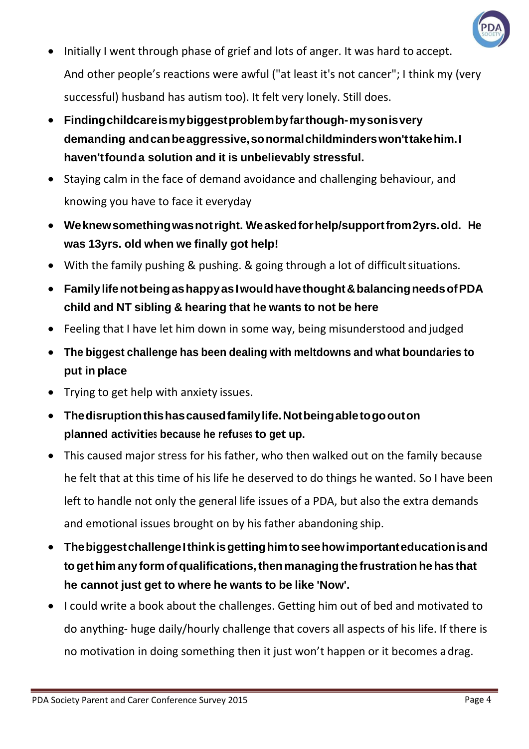

- Initially I went through phase of grief and lots of anger. It was hard to accept. And other people's reactions were awful ("at least it's not cancer"; I think my (very successful) husband has autism too). It felt very lonely. Still does.
- **Findingchildcareismybiggestproblembyfarthough-mysonisvery demanding andcanbeaggressive,sonormalchildminderswon'ttakehim.I haven'tfounda solution and it is unbelievably stressful.**
- Staying calm in the face of demand avoidance and challenging behaviour, and knowing you have to face it everyday
- **Weknewsomethingwasnotright. Weaskedforhelp/supportfrom2yrs.old. He was 13yrs. old when we finally got help!**
- With the family pushing & pushing. & going through a lot of difficult situations.
- **FamilylifenotbeingashappyasIwouldhavethought&balancingneedsofPDA child and NT sibling & hearing that he wants to not be here**
- Feeling that I have let him down in some way, being misunderstood and judged
- **The biggest challenge has been dealing with meltdowns and what boundaries to put in place**
- Trying to get help with anxiety issues.
- **Thedisruptionthishascausedfamilylife.Notbeingabletogoouton planned activities because he refuses to get up.**
- This caused major stress for his father, who then walked out on the family because he felt that at this time of his life he deserved to do things he wanted. So I have been left to handle not only the general life issues of a PDA, but also the extra demands and emotional issues brought on by his father abandoning ship.
- **ThebiggestchallengeIthinkisgettinghimtoseehowimportanteducationisand togethimany form ofqualifications,thenmanagingthe frustrationhehas that he cannot just get to where he wants to be like 'Now'.**
- I could write a book about the challenges. Getting him out of bed and motivated to do anything- huge daily/hourly challenge that covers all aspects of his life. If there is no motivation in doing something then it just won't happen or it becomes adrag.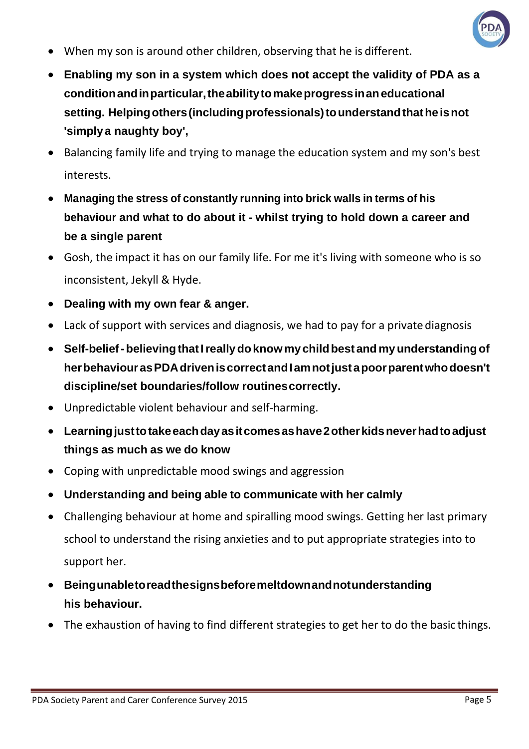

- When my son is around other children, observing that he is different.
- **Enabling my son in a system which does not accept the validity of PDA as a conditionandinparticular,theabilitytomakeprogressinaneducational setting. Helpingothers(includingprofessionals)tounderstandthatheisnot 'simplya naughty boy',**
- Balancing family life and trying to manage the education system and my son's best interests.
- **Managing the stress of constantly running into brick walls in terms of his behaviour and what to do about it - whilst trying to hold down a career and be a single parent**
- Gosh, the impact it has on our family life. For me it's living with someone who is so inconsistent, Jekyll & Hyde.
- **Dealing with my own fear & anger.**
- Lack of support with services and diagnosis, we had to pay for a private diagnosis
- **Self-belief-believingthatIreallydoknowmychildbest and myunderstandingof herbehaviourasPDAdriveniscorrectandIamnotjustapoorparentwhodoesn't discipline/set boundaries/follow routinescorrectly.**
- Unpredictable violent behaviour and self-harming.
- **Learningjusttotakeeachdayasitcomesashave2otherkidsneverhadtoadjust things as much as we do know**
- Coping with unpredictable mood swings and aggression
- **Understanding and being able to communicate with her calmly**
- Challenging behaviour at home and spiralling mood swings. Getting her last primary school to understand the rising anxieties and to put appropriate strategies into to support her.
- **Beingunabletoreadthesignsbeforemeltdownandnotunderstanding his behaviour.**
- The exhaustion of having to find different strategies to get her to do the basic things.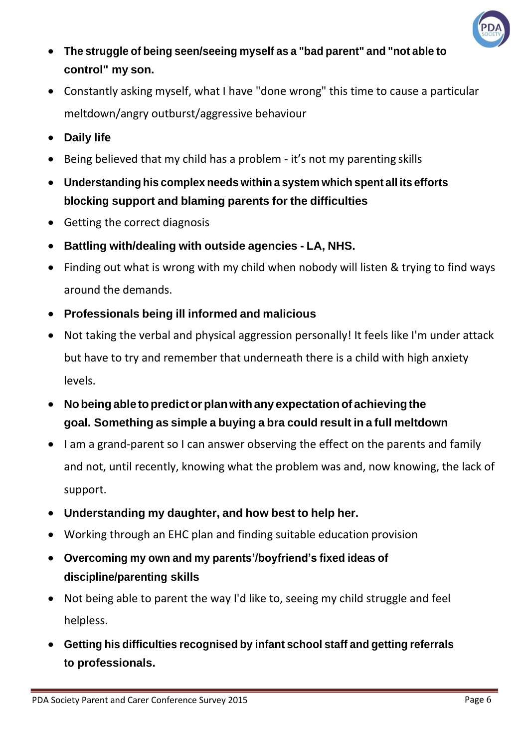

- **The struggle of being seen/seeing myself as a "bad parent" and "not able to control" my son.**
- Constantly asking myself, what I have "done wrong" this time to cause a particular meltdown/angry outburst/aggressive behaviour
- **Daily life**
- Being believed that my child has a problem it's not my parenting skills
- **Understanding his complex needs within a system which spent all its efforts blocking support and blaming parents for the difficulties**
- Getting the correct diagnosis
- **Battling with/dealing with outside agencies - LA, NHS.**
- Finding out what is wrong with my child when nobody will listen & trying to find ways around the demands.
- **Professionals being ill informed and malicious**
- Not taking the verbal and physical aggression personally! It feels like I'm under attack but have to try and remember that underneath there is a child with high anxiety levels.
- **Nobeingable topredictorplanwithany expectationof achievingthe goal. Something as simple a buying a bra could result in a full meltdown**
- I am a grand-parent so I can answer observing the effect on the parents and family and not, until recently, knowing what the problem was and, now knowing, the lack of support.
- **Understanding my daughter, and how best to help her.**
- Working through an EHC plan and finding suitable education provision
- **Overcoming my own and my parents'/boyfriend's fixed ideas of discipline/parenting skills**
- Not being able to parent the way I'd like to, seeing my child struggle and feel helpless.
- **Getting his difficulties recognised by infant school staff and getting referrals to professionals.**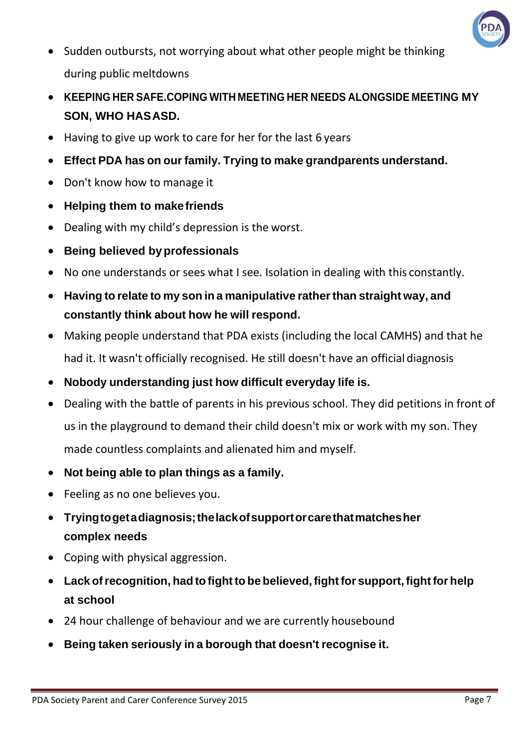

- Sudden outbursts, not worrying about what other people might be thinking during public meltdowns
- **KEEPING HER SAFE.COPING WITH MEETING HER NEEDS ALONGSIDE MEETING MY SON, WHO HASASD.**
- Having to give up work to care for her for the last 6 years
- **Effect PDA has on our family. Trying to make grandparents understand.**
- Don't know how to manage it
- **Helping them to makefriends**
- Dealing with my child's depression is the worst.
- **Being believed byprofessionals**
- No one understands or sees what I see. Isolation in dealing with this constantly.
- **Having to relate to my son in a manipulative ratherthan straight way, and constantly think about how he will respond.**
- Making people understand that PDA exists (including the local CAMHS) and that he had it. It wasn't officially recognised. He still doesn't have an official diagnosis
- **Nobody understanding just how difficult everyday life is.**
- Dealing with the battle of parents in his previous school. They did petitions in front of us in the playground to demand their child doesn't mix or work with my son. They made countless complaints and alienated him and myself.
- **Not being able to plan things as a family.**
- Feeling as no one believes you.
- **Tryingtogetadiagnosis;thelackofsupportorcarethatmatchesher complex needs**
- Coping with physical aggression.
- **Lack ofrecognition, had to fightto be believed,fightfor support,fightfor help at school**
- 24 hour challenge of behaviour and we are currently housebound
- **Being taken seriously in a borough that doesn't recognise it.**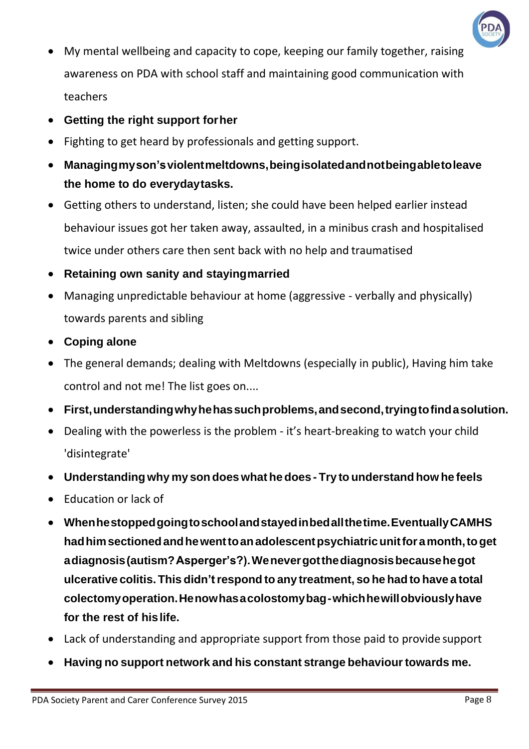

- My mental wellbeing and capacity to cope, keeping our family together, raising awareness on PDA with school staff and maintaining good communication with teachers
- **Getting the right support forher**
- Fighting to get heard by professionals and getting support.
- **Managingmyson'sviolentmeltdowns,beingisolatedandnotbeingabletoleave the home to do everydaytasks.**
- Getting others to understand, listen; she could have been helped earlier instead behaviour issues got her taken away, assaulted, in a minibus crash and hospitalised twice under others care then sent back with no help and traumatised
- **Retaining own sanity and stayingmarried**
- Managing unpredictable behaviour at home (aggressive verbally and physically) towards parents and sibling
- **Coping alone**
- The general demands; dealing with Meltdowns (especially in public), Having him take control and not me! The list goes on....
- **First,understandingwhyhehassuchproblems,andsecond,tryingtofindasolution.**
- Dealing with the powerless is the problem it's heart-breaking to watch your child 'disintegrate'
- **Understanding why my son does what hedoes - Try to understand how he feels**
- Education or lack of
- **Whenhestoppedgoingtoschoolandstayedinbedallthetime.EventuallyCAMHS hadhimsectionedandhewenttoanadolescentpsychiatricunitforamonth,toget adiagnosis(autism?Asperger's?).Wenevergotthediagnosisbecausehegot ulcerative colitis. This didn'trespond to any treatment, so he had to have a total colectomyoperation.Henowhasacolostomybag-whichhewillobviouslyhave for the rest of hislife.**
- Lack of understanding and appropriate support from those paid to provide support
- **Having no support network and his constant strange behaviourtowards me.**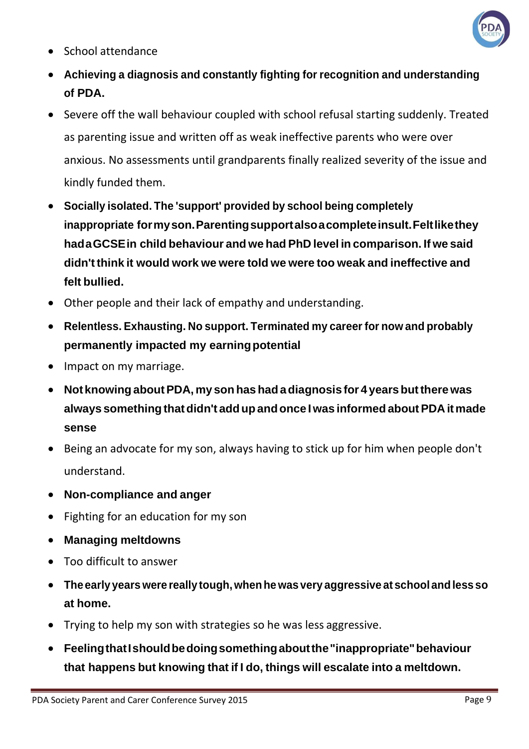

- School attendance
- **Achieving a diagnosis and constantly fighting for recognition and understanding of PDA.**
- Severe off the wall behaviour coupled with school refusal starting suddenly. Treated as parenting issue and written off as weak ineffective parents who were over anxious. No assessments until grandparents finally realized severity of the issue and kindly funded them.
- **Socially isolated. The 'support' provided by school being completely inappropriate formyson.Parentingsupportalsoacompleteinsult.Feltlikethey hadaGCSEin child behaviour and we had PhD level in comparison. If we said didn't think it would work we were told we were too weak and ineffective and felt bullied.**
- Other people and their lack of empathy and understanding.
- **Relentless. Exhausting. No support. Terminated my career for now and probably permanently impacted my earningpotential**
- Impact on my marriage.
- **Not knowing aboutPDA, my son hashadadiagnosis for 4 yearsbuttherewas always somethingthatdidn't addupandonce Iwas informed aboutPDA itmade sense**
- Being an advocate for my son, always having to stick up for him when people don't understand.
- **Non-compliance and anger**
- Fighting for an education for my son
- **Managing meltdowns**
- Too difficult to answer
- **The early years were really tough, whenhewas very aggressive at schoolandless so at home.**
- Trying to help my son with strategies so he was less aggressive.
- **FeelingthatIshouldbedoingsomethingaboutthe"inappropriate"behaviour that happens but knowing that if I do, things will escalate into a meltdown.**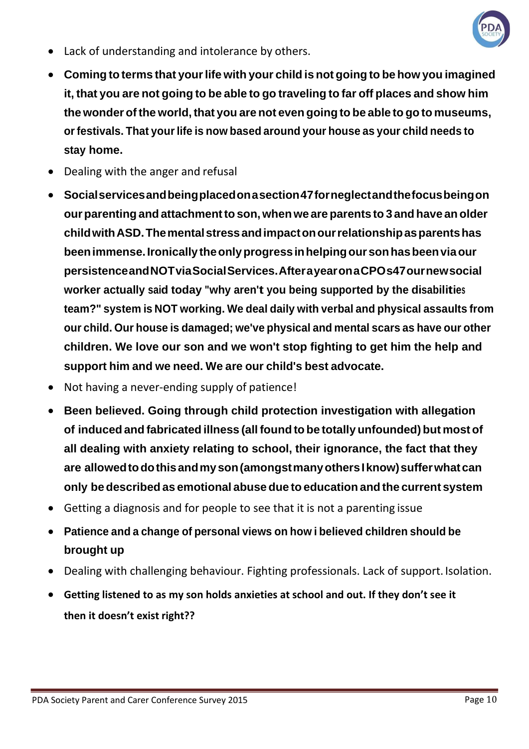

- Lack of understanding and intolerance by others.
- **Coming to terms that yourlife with your child is not going to be how you imagined it, that you are not going to be able to go traveling to far off places and show him the wonder of the world,that you are not even going to be able to go to museums, orfestivals. That yourlife is now based around your house as your child needs to stay home.**
- Dealing with the anger and refusal
- **Socialservicesandbeingplacedonasection47forneglectandthefocusbeingon ourparenting and attachmentto son, whenwe are parents to 3 and have anolder childwithASD.Thementalstressandimpactonourrelationshipasparentshas beenimmense.Ironicallytheonlyprogressinhelpingoursonhasbeenviaour persistenceandNOTviaSocialServices.AfterayearonaCPOs47ournewsocial worker actually said today "why aren't you being supported by the disabilities team?" system is NOT working. We deal daily with verbal and physical assaults from our child. Our house is damaged; we've physical and mental scars as have our other children. We love our son and we won't stop fighting to get him the help and support him and we need. We are our child's best advocate.**
- Not having a never-ending supply of patience!
- **Been believed. Going through child protection investigation with allegation of induced and fabricated illness (all found to be totally unfounded) but most of all dealing with anxiety relating to school, their ignorance, the fact that they are allowedtodothisandmyson(amongstmanyothersIknow)sufferwhatcan only be described as emotional abuse due to education and the current system**
- Getting a diagnosis and for people to see that it is not a parenting issue
- **Patience and a change of personal views on how i believed children should be brought up**
- Dealing with challenging behaviour. Fighting professionals. Lack of support. Isolation.
- **Getting listened to as my son holds anxieties at school and out. If they don't see it then it doesn't exist right??**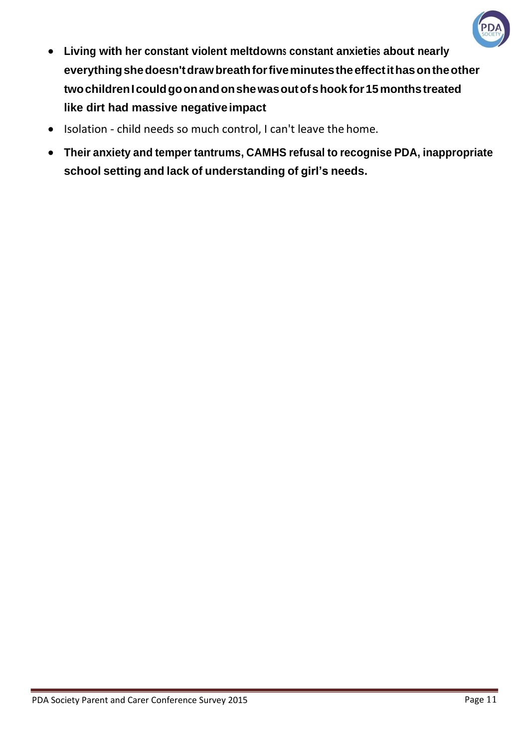

- **Living with her constant violent meltdowns constant anxieties about nearly everythingshedoesn'tdrawbreathforfiveminutestheeffectithasontheother twochildrenIcouldgoonandonshewasoutofshookfor15monthstreated like dirt had massive negativeimpact**
- Isolation child needs so much control, I can't leave the home.
- **Their anxiety and temper tantrums, CAMHS refusal to recognise PDA, inappropriate school setting and lack of understanding of girl's needs.**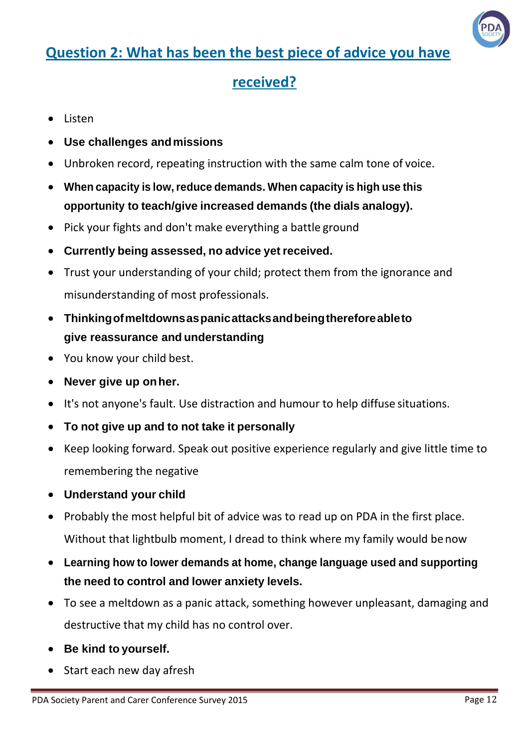

## **Question 2: What has been the best piece of advice you have**

#### **received?**

- Listen
- **Use challenges andmissions**
- Unbroken record, repeating instruction with the same calm tone of voice.
- **When capacity is low,reduce demands. When capacity is high use this opportunity to teach/give increased demands (the dials analogy).**
- Pick your fights and don't make everything a battle ground
- **Currently being assessed, no advice yet received.**
- Trust your understanding of your child; protect them from the ignorance and misunderstanding of most professionals.
- **Thinkingofmeltdownsaspanicattacksandbeingthereforeableto give reassurance and understanding**
- You know your child best.
- **Never give up onher.**
- It's not anyone's fault. Use distraction and humour to help diffuse situations.
- **To not give up and to not take it personally**
- Keep looking forward. Speak out positive experience regularly and give little time to remembering the negative
- **Understand your child**
- Probably the most helpful bit of advice was to read up on PDA in the first place. Without that lightbulb moment, I dread to think where my family would benow
- **Learning how to lower demands at home, change language used and supporting the need to control and lower anxiety levels.**
- To see a meltdown as a panic attack, something however unpleasant, damaging and destructive that my child has no control over.
- **Be kind to yourself.**
- Start each new day afresh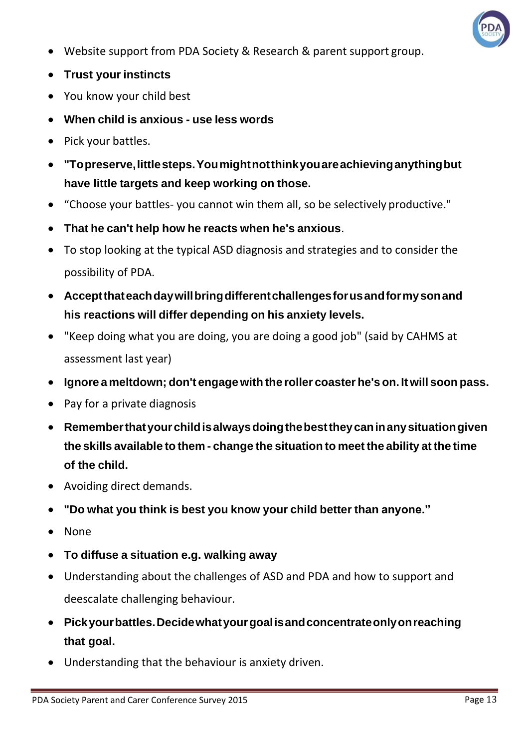

- Website support from PDA Society & Research & parent support group.
- **Trust your instincts**
- You know your child best
- **When child is anxious - use less words**
- Pick your battles.
- **"Topreserve,littlesteps.Youmightnotthinkyouareachievinganythingbut have little targets and keep working on those.**
- "Choose your battles- you cannot win them all, so be selectively productive."
- **That he can't help how he reacts when he's anxious**.
- To stop looking at the typical ASD diagnosis and strategies and to consider the possibility of PDA.
- **Acceptthateachdaywillbringdifferentchallengesforusandformysonand his reactions will differ depending on his anxiety levels.**
- "Keep doing what you are doing, you are doing a good job" (said by CAHMS at assessment last year)
- **Ignore a meltdown; don't engagewith the roller coaster he's on. It will soon pass.**
- Pay for a private diagnosis
- **Rememberthatyourchildisalwaysdoingthebesttheycaninanysituationgiven the skills available to them - change the situation to meet the ability at the time of the child.**
- Avoiding direct demands.
- **"Do what you think is best you know your child better than anyone."**
- None
- **To diffuse a situation e.g. walking away**
- Understanding about the challenges of ASD and PDA and how to support and deescalate challenging behaviour.
- **Pickyourbattles.Decidewhatyourgoalisandconcentrateonlyonreaching that goal.**
- Understanding that the behaviour is anxiety driven.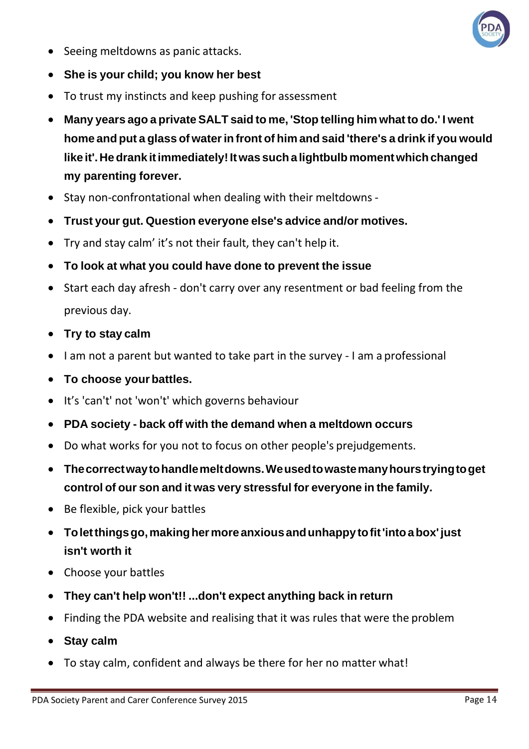

- Seeing meltdowns as panic attacks.
- **She is your child; you know her best**
- To trust my instincts and keep pushing for assessment
- **Many years ago a private SALT said to me, 'Stop telling him what to do.' I went home and put a glass of waterin front of him and said 'there's a drink if you would like it'. Hedrank itimmediately!Itwas suchalightbulb momentwhichchanged my parenting forever.**
- Stay non-confrontational when dealing with their meltdowns -
- **Trust your gut. Question everyone else's advice and/or motives.**
- Try and stay calm' it's not their fault, they can't help it.
- **To look at what you could have done to prevent the issue**
- Start each day afresh don't carry over any resentment or bad feeling from the previous day.
- **Try to stay calm**
- I am not a parent but wanted to take part in the survey I am a professional
- To choose your battles.
- It's 'can't' not 'won't' which governs behaviour
- **PDA society - back off with the demand when a meltdown occurs**
- Do what works for you not to focus on other people's prejudgements.
- **Thecorrectwaytohandlemeltdowns.Weusedtowastemanyhourstryingtoget control of our son and it was very stressful for everyone in the family.**
- Be flexible, pick your battles
- **Toletthingsgo,makinghermoreanxiousandunhappy tofit'intoabox' just isn't worth it**
- Choose your battles
- **They can't help won't!! ...don't expect anything back in return**
- Finding the PDA website and realising that it was rules that were the problem
- **Stay calm**
- To stay calm, confident and always be there for her no matter what!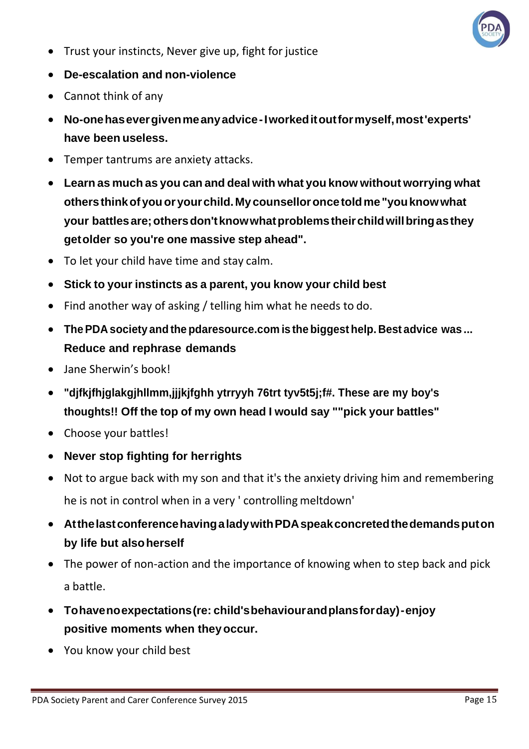

- Trust your instincts, Never give up, fight for justice
- **De-escalation and non-violence**
- Cannot think of any
- **No-onehasevergivenmeanyadvice-Iworkeditoutformyself,most'experts' have been useless.**
- Temper tantrums are anxiety attacks.
- **Learn as much as you can and deal with what you know without worrying what othersthinkofyouoryourchild.My counselloroncetoldme"youknowwhat your battlesare;othersdon'tknowwhatproblemstheirchildwillbringasthey getolder so you're one massive step ahead".**
- To let your child have time and stay calm.
- **Stick to your instincts as a parent, you know your child best**
- Find another way of asking / telling him what he needs to do.
- **ThePDA society and the pdaresource.com is the biggest help. Best advice was ... Reduce and rephrase demands**
- Jane Sherwin's book!
- **"djfkjfhjglakgjhllmm,jjjkjfghh ytrryyh 76trt tyv5t5j;f#. These are my boy's thoughts!! Off the top of my own head I would say ""pick your battles"**
- Choose your battles!
- **Never stop fighting for herrights**
- Not to argue back with my son and that it's the anxiety driving him and remembering he is not in control when in a very ' controlling meltdown'
- **AtthelastconferencehavingaladywithPDAspeakconcretedthedemandsputon by life but alsoherself**
- The power of non-action and the importance of knowing when to step back and pick a battle.
- **Tohavenoexpectations(re: child'sbehaviourandplansforday)-enjoy positive moments when theyoccur.**
- You know your child best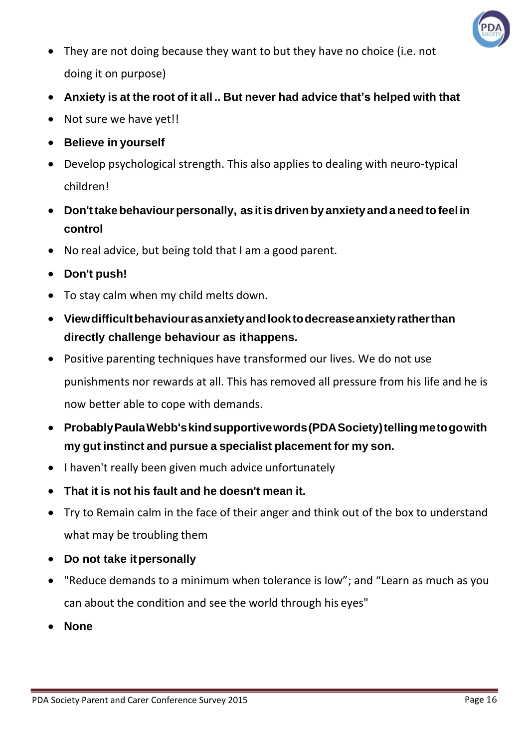

- They are not doing because they want to but they have no choice (i.e. not doing it on purpose)
- **Anxiety is at the root of it all .. But never had advice that's helped with that**
- Not sure we have yet!!
- **Believe in yourself**
- Develop psychological strength. This also applies to dealing with neuro-typical children!
- **Don'ttakebehaviourpersonally, as itisdrivenby anxiety andaneedtofeel in control**
- No real advice, but being told that I am a good parent.
- **Don't push!**
- To stay calm when my child melts down.
- **Viewdifficultbehaviourasanxietyandlooktodecreaseanxietyratherthan directly challenge behaviour as ithappens.**
- Positive parenting techniques have transformed our lives. We do not use punishments nor rewards at all. This has removed all pressure from his life and he is now better able to cope with demands.
- **ProbablyPaulaWebb'skindsupportivewords(PDASociety)tellingmetogowith my gut instinct and pursue a specialist placement for my son.**
- I haven't really been given much advice unfortunately
- **That it is not his fault and he doesn't mean it.**
- Try to Remain calm in the face of their anger and think out of the box to understand what may be troubling them
- **Do not take itpersonally**
- "Reduce demands to a minimum when tolerance is low"; and "Learn as much as you can about the condition and see the world through his eyes"
- **None**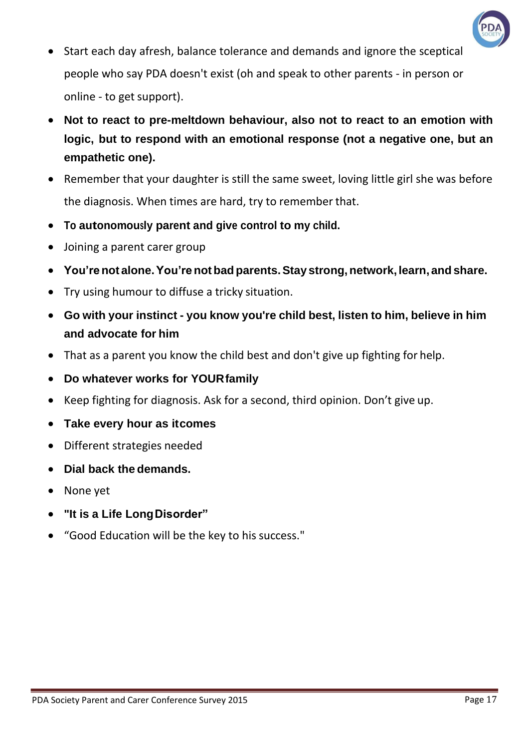

- Start each day afresh, balance tolerance and demands and ignore the sceptical people who say PDA doesn't exist (oh and speak to other parents - in person or online - to get support).
- **Not to react to pre-meltdown behaviour, also not to react to an emotion with logic, but to respond with an emotional response (not a negative one, but an empathetic one).**
- Remember that your daughter is still the same sweet, loving little girl she was before the diagnosis. When times are hard, try to remember that.
- **To autonomously parent and give control to my child.**
- Joining a parent carer group
- **You'renot alone.You'renot bad parents.Stay strong,network, learn, and share.**
- Try using humour to diffuse a tricky situation.
- **Go with your instinct - you know you're child best, listen to him, believe in him and advocate for him**
- That as a parent you know the child best and don't give up fighting for help.
- **Do whatever works for YOURfamily**
- Keep fighting for diagnosis. Ask for a second, third opinion. Don't give up.
- **Take every hour as itcomes**
- Different strategies needed
- **Dial back the demands.**
- None yet
- **"It is a Life LongDisorder"**
- "Good Education will be the key to his success."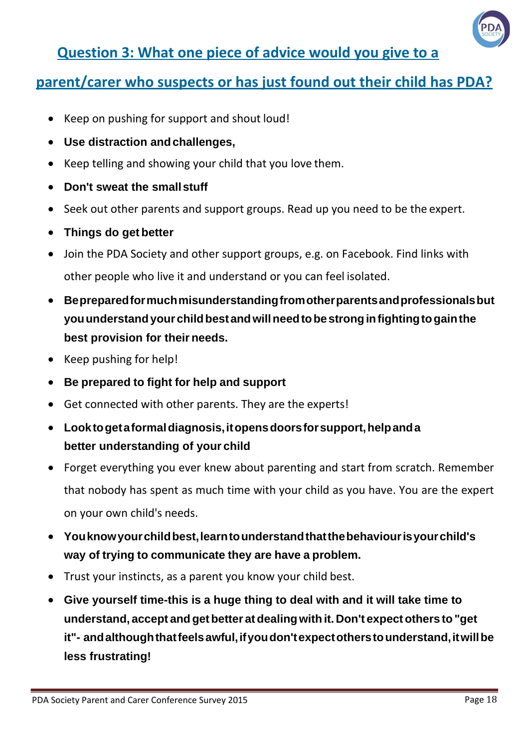

#### **Question 3: What one piece of advice would you give to a**

#### **parent/carer who suspects or has just found out their child has PDA?**

- Keep on pushing for support and shout loud!
- **Use distraction andchallenges,**
- Keep telling and showing your child that you love them.
- **Don't sweat the smallstuff**
- Seek out other parents and support groups. Read up you need to be the expert.
- **Things do get better**
- Join the PDA Society and other support groups, e.g. on Facebook. Find links with other people who live it and understand or you can feel isolated.
- **Bepreparedformuchmisunderstandingfromotherparentsandprofessionalsbut youunderstandyourchildbestandwillneedtobestronginfightingtogainthe best provision for their needs.**
- Keep pushing for help!
- **Be prepared to fight for help and support**
- Get connected with other parents. They are the experts!
- **Looktogetaformaldiagnosis,itopensdoorsforsupport,helpanda better understanding of your child**
- Forget everything you ever knew about parenting and start from scratch. Remember that nobody has spent as much time with your child as you have. You are the expert on your own child's needs.
- **Youknowyourchildbest,learntounderstandthatthebehaviourisyourchild's way of trying to communicate they are have a problem.**
- Trust your instincts, as a parent you know your child best.
- **Give yourself time-this is a huge thing to deal with and it will take time to understand, accept andgetbetter atdealingwith it. Don't expectothers to"get it"- andalthoughthatfeelsawful,ifyoudon'texpectotherstounderstand,itwillbe less frustrating!**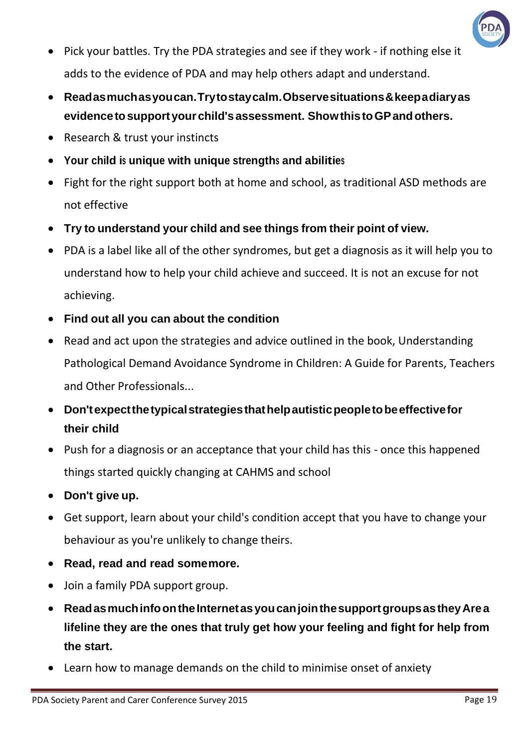

- Pick your battles. Try the PDA strategies and see if they work if nothing else it adds to the evidence of PDA and may help others adapt and understand.
- **Readasmuchasyoucan.Trytostaycalm.Observesituations&keepadiaryas evidencetosupportyourchild'sassessment. ShowthistoGPandothers.**
- Research & trust your instincts
- **Your child is unique with unique strengths and abilities**
- Fight for the right support both at home and school, as traditional ASD methods are not effective
- **Try to understand your child and see things from their point of view.**
- PDA is a label like all of the other syndromes, but get a diagnosis as it will help you to understand how to help your child achieve and succeed. It is not an excuse for not achieving.
- **Find out all you can about the condition**
- Read and act upon the strategies and advice outlined in the book, Understanding Pathological Demand Avoidance Syndrome in Children: A Guide for Parents, Teachers and Other Professionals...
- **Don'texpectthetypicalstrategiesthathelpautisticpeopletobeeffectivefor their child**
- Push for a diagnosis or an acceptance that your child has this once this happened things started quickly changing at CAHMS and school
- **Don't give up.**
- Get support, learn about your child's condition accept that you have to change your behaviour as you're unlikely to change theirs.
- **Read, read and read somemore.**
- Join a family PDA support group.
- **ReadasmuchinfoontheInternetasyoucanjointhesupportgroupsastheyArea lifeline they are the ones that truly get how your feeling and fight for help from the start.**
- Learn how to manage demands on the child to minimise onset of anxiety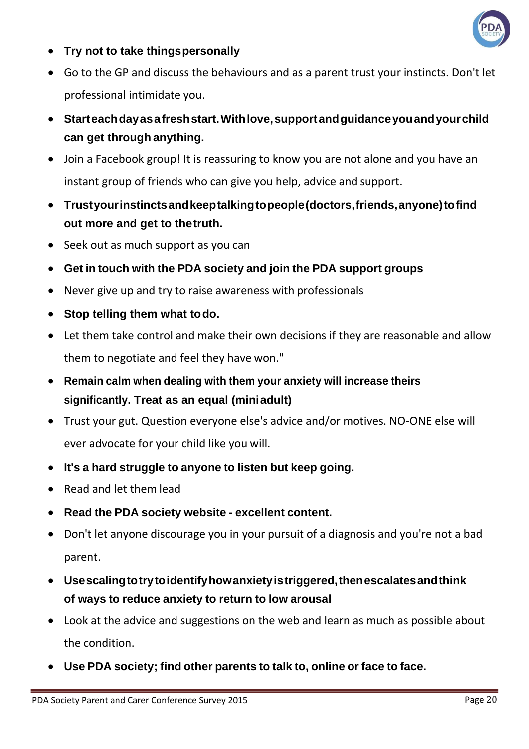

- **Try not to take thingspersonally**
- Go to the GP and discuss the behaviours and as a parent trust your instincts. Don't let professional intimidate you.
- **Starteachdayasafreshstart.Withlove,supportandguidanceyouandyourchild can get through anything.**
- Join a Facebook group! It is reassuring to know you are not alone and you have an instant group of friends who can give you help, advice and support.
- **Trustyourinstinctsandkeeptalkingtopeople(doctors,friends,anyone)tofind out more and get to thetruth.**
- Seek out as much support as you can
- **Get in touch with the PDA society and join the PDA support groups**
- Never give up and try to raise awareness with professionals
- **Stop telling them what todo.**
- Let them take control and make their own decisions if they are reasonable and allow them to negotiate and feel they have won."
- **Remain calm when dealing with them your anxiety will increase theirs significantly. Treat as an equal (miniadult)**
- Trust your gut. Question everyone else's advice and/or motives. NO-ONE else will ever advocate for your child like you will.
- **It's a hard struggle to anyone to listen but keep going.**
- Read and let them lead
- **Read the PDA society website - excellent content.**
- Don't let anyone discourage you in your pursuit of a diagnosis and you're not a bad parent.
- **Usescalingtotrytoidentifyhowanxietyistriggered,thenescalatesandthink of ways to reduce anxiety to return to low arousal**
- Look at the advice and suggestions on the web and learn as much as possible about the condition.
- **Use PDA society; find other parents to talk to, online or face to face.**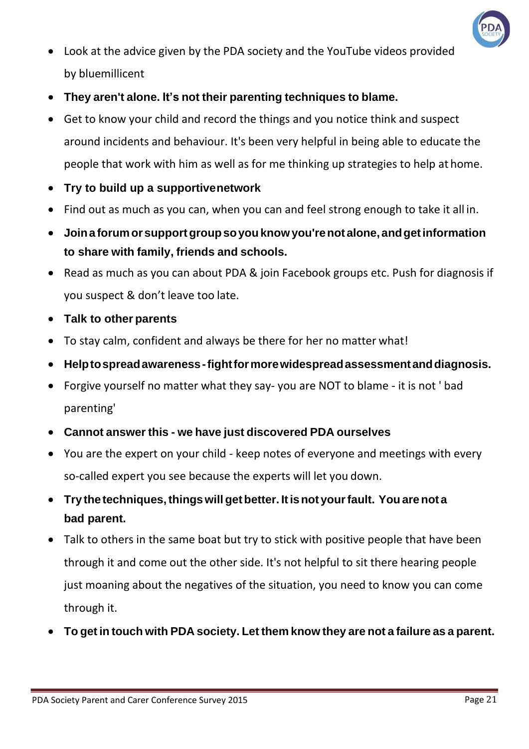

- Look at the advice given by the PDA society and the YouTube videos provided by bluemillicent
- **They aren't alone. It's not their parenting techniques to blame.**
- Get to know your child and record the things and you notice think and suspect around incidents and behaviour. It's been very helpful in being able to educate the people that work with him as well as for me thinking up strategies to help at home.
- **Try to build up a supportivenetwork**
- Find out as much as you can, when you can and feel strong enough to take it all in.
- **Joinaforumorsupportgroupsoyouknowyou'renot alone, andgetinformation to share with family, friends and schools.**
- Read as much as you can about PDA & join Facebook groups etc. Push for diagnosis if you suspect & don't leave too late.
- **Talk to other parents**
- To stay calm, confident and always be there for her no matter what!
- **Helptospreadawareness-fightformorewidespreadassessmentanddiagnosis.**
- Forgive yourself no matter what they say- you are NOT to blame it is not ' bad parenting'
- **Cannot answer this - we have just discovered PDA ourselves**
- You are the expert on your child keep notes of everyone and meetings with every so-called expert you see because the experts will let you down.
- **Try thetechniques,thingswill getbetter. Itisnot yourfault. Youarenot a bad parent.**
- Talk to others in the same boat but try to stick with positive people that have been through it and come out the other side. It's not helpful to sit there hearing people just moaning about the negatives of the situation, you need to know you can come through it.
- **To get in touch with PDA society. Let them know they are not a failure as a parent.**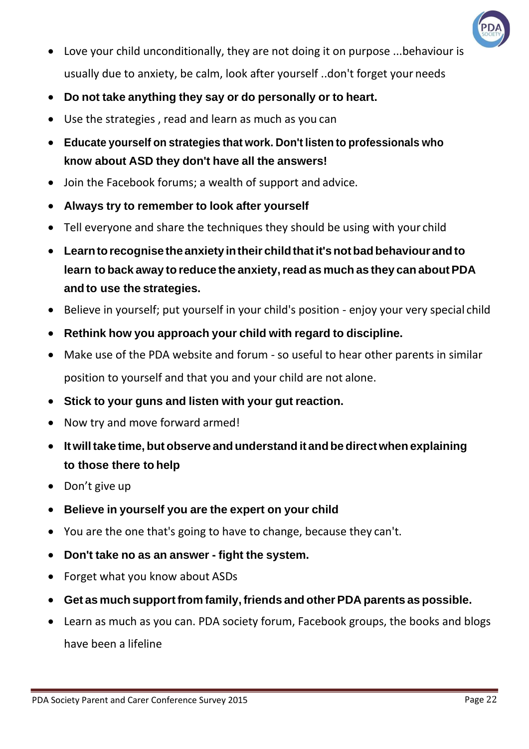

- Love your child unconditionally, they are not doing it on purpose ...behaviour is usually due to anxiety, be calm, look after yourself ..don't forget your needs
- **Do not take anything they say or do personally or to heart.**
- Use the strategies , read and learn as much as you can
- **Educate yourself on strategies that work. Don't listen to professionals who know about ASD they don't have all the answers!**
- Join the Facebook forums; a wealth of support and advice.
- **Always try to remember to look after yourself**
- Tell everyone and share the techniques they should be using with your child
- **Learntorecognise the anxiety intheir childthatit'snotbadbehaviour andto learn to back away to reduce the anxiety,read as much as they can about PDA and to use the strategies.**
- Believe in yourself; put yourself in your child's position enjoy your very special child
- **Rethink how you approach your child with regard to discipline.**
- Make use of the PDA website and forum so useful to hear other parents in similar position to yourself and that you and your child are not alone.
- **Stick to your guns and listen with your gut reaction.**
- Now try and move forward armed!
- **Itwilltake time, but observe andunderstand it andbe direct when explaining to those there to help**
- Don't give up
- **Believe in yourself you are the expert on your child**
- You are the one that's going to have to change, because they can't.
- **Don't take no as an answer - fight the system.**
- Forget what you know about ASDs
- **Get as much supportfrom family, friends and other PDA parents as possible.**
- Learn as much as you can. PDA society forum, Facebook groups, the books and blogs have been a lifeline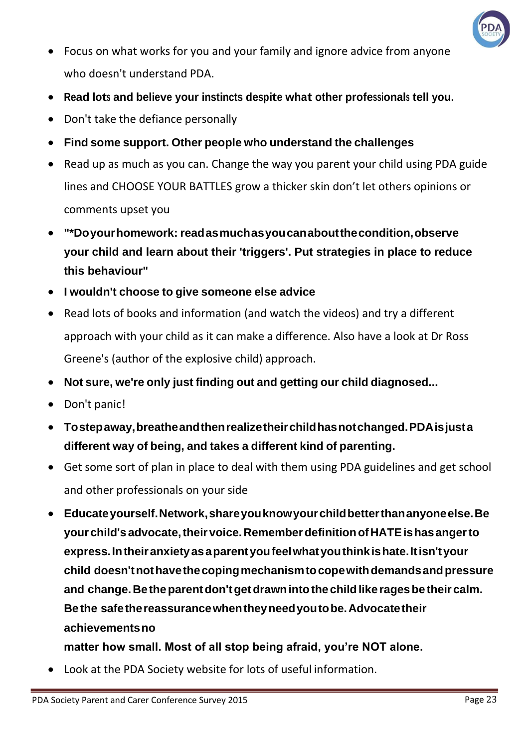

- Focus on what works for you and your family and ignore advice from anyone who doesn't understand PDA.
- **Read lots and believe your instincts despite what other professionals tell you.**
- Don't take the defiance personally
- **Find some support. Other people who understand the challenges**
- Read up as much as you can. Change the way you parent your child using PDA guide lines and CHOOSE YOUR BATTLES grow a thicker skin don't let others opinions or comments upset you
- **"\*Doyourhomework: readasmuchasyoucanaboutthecondition,observe your child and learn about their 'triggers'. Put strategies in place to reduce this behaviour"**
- **I wouldn't choose to give someone else advice**
- Read lots of books and information (and watch the videos) and try a different approach with your child as it can make a difference. Also have a look at Dr Ross Greene's (author of the explosive child) approach.
- **Not sure, we're only just finding out and getting our child diagnosed...**
- Don't panic!
- **Tostepaway,breatheandthenrealizetheirchildhasnotchanged.PDAisjusta different way of being, and takes a different kind of parenting.**
- Get some sort of plan in place to deal with them using PDA guidelines and get school and other professionals on your side
- **Educateyourself.Network,shareyouknowyourchildbetterthananyoneelse.Be yourchild's advocate,theirvoice.RememberdefinitionofHATEishasangerto express.Intheiranxietyasaparentyoufeelwhatyouthinkishate.Itisn'tyour child doesn'tnothavethecopingmechanismtocopewithdemandsandpressure and change.Betheparentdon'tgetdrawnintothechildlike ragesbetheir calm. Bethe safethereassurancewhentheyneedyoutobe.Advocatetheir achievementsno**

**matter how small. Most of all stop being afraid, you're NOT alone.**

• Look at the PDA Society website for lots of useful information.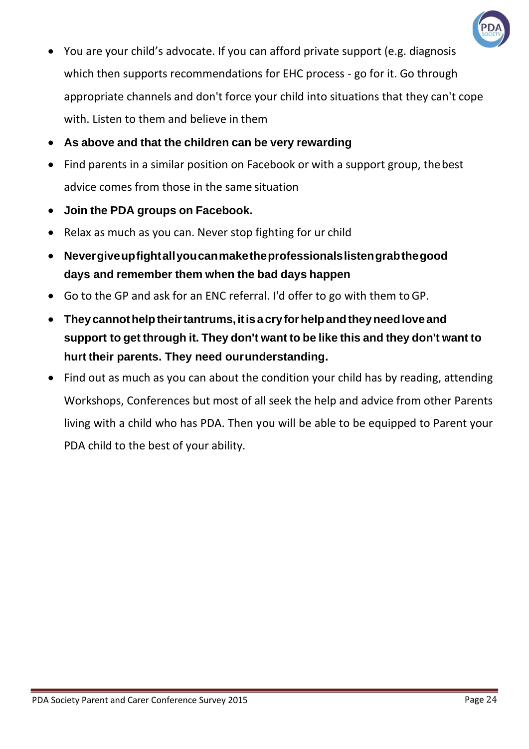

- You are your child's advocate. If you can afford private support (e.g. diagnosis which then supports recommendations for EHC process - go for it. Go through appropriate channels and don't force your child into situations that they can't cope with. Listen to them and believe in them
- **As above and that the children can be very rewarding**
- Find parents in a similar position on Facebook or with a support group, the best advice comes from those in the same situation
- **Join the PDA groups on Facebook.**
- Relax as much as you can. Never stop fighting for ur child
- **Nevergiveupfightallyoucanmaketheprofessionalslistengrabthegood days and remember them when the bad days happen**
- Go to the GP and ask for an ENC referral. I'd offer to go with them toGP.
- **Theycannothelptheirtantrums,itisacryforhelpandtheyneedloveand support to get through it. They don't want to be like this and they don't want to hurt their parents. They need ourunderstanding.**
- Find out as much as you can about the condition your child has by reading, attending Workshops, Conferences but most of all seek the help and advice from other Parents living with a child who has PDA. Then you will be able to be equipped to Parent your PDA child to the best of your ability.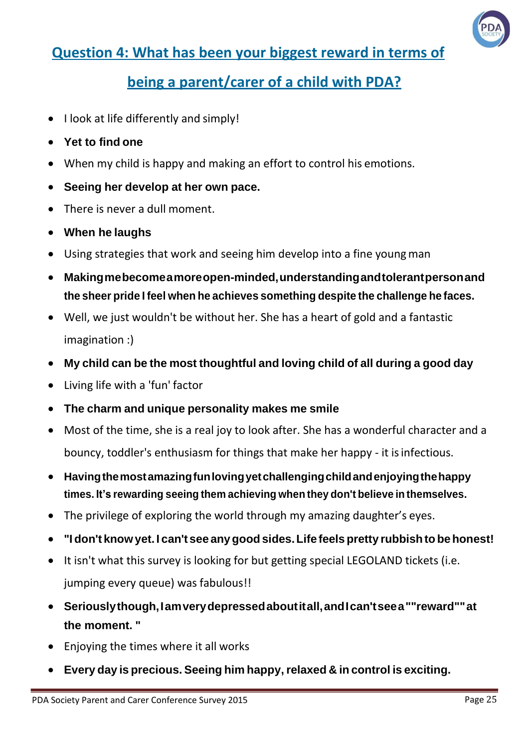

#### **Question 4: What has been your biggest reward in terms of**

#### **being a parent/carer of a child with PDA?**

- I look at life differently and simply!
- **Yet to find one**
- When my child is happy and making an effort to control his emotions.
- **Seeing her develop at her own pace.**
- There is never a dull moment.
- **When he laughs**
- Using strategies that work and seeing him develop into a fine young man
- **Makingmebecomeamoreopen-minded,understandingandtolerantpersonand the sheer pride I feel when he achieves something despite the challenge he faces.**
- Well, we just wouldn't be without her. She has a heart of gold and a fantastic imagination :)
- **My child can be the most thoughtful and loving child of all during a good day**
- Living life with a 'fun' factor
- **The charm and unique personality makes me smile**
- Most of the time, she is a real joy to look after. She has a wonderful character and a bouncy, toddler's enthusiasm for things that make her happy - it is infectious.
- **Havingthemostamazingfunlovingyetchallengingchildandenjoyingthehappy times. It's rewarding seeing them achieving when they don't believe in themselves.**
- The privilege of exploring the world through my amazing daughter's eyes.
- **"Idon't knowyet. I can't see anygoodsides.Life feels pretty rubbishto behonest!**
- It isn't what this survey is looking for but getting special LEGOLAND tickets (i.e. jumping every queue) was fabulous!!
- **Seriouslythough,Iamverydepressedaboutitall,andIcan'tseea""reward""at the moment. "**
- Enjoying the times where it all works
- **Every day is precious. Seeing him happy,relaxed & in control is exciting.**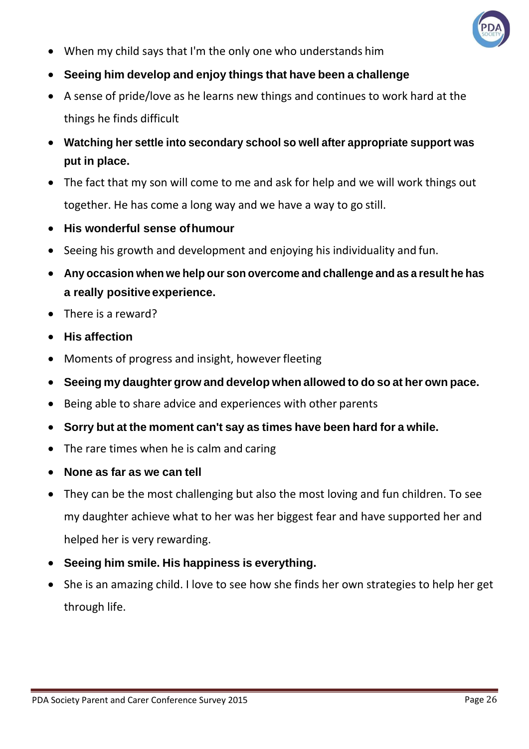

- When my child says that I'm the only one who understands him
- **Seeing him develop and enjoy things that have been a challenge**
- A sense of pride/love as he learns new things and continues to work hard at the things he finds difficult
- **Watching her settle into secondary school so well after appropriate support was put in place.**
- The fact that my son will come to me and ask for help and we will work things out together. He has come a long way and we have a way to go still.
- **His wonderful sense ofhumour**
- Seeing his growth and development and enjoying his individuality and fun.
- **Any occasion when we help our son overcome and challenge and as a result he has a really positive experience.**
- There is a reward?
- **His affection**
- Moments of progress and insight, however fleeting
- **Seeing my daughter grow and develop when allowed to do so at her own pace.**
- Being able to share advice and experiences with other parents
- **Sorry but at the moment can't say as times have been hard for a while.**
- The rare times when he is calm and caring
- **None as far as we can tell**
- They can be the most challenging but also the most loving and fun children. To see my daughter achieve what to her was her biggest fear and have supported her and helped her is very rewarding.
- **Seeing him smile. His happiness is everything.**
- She is an amazing child. I love to see how she finds her own strategies to help her get through life.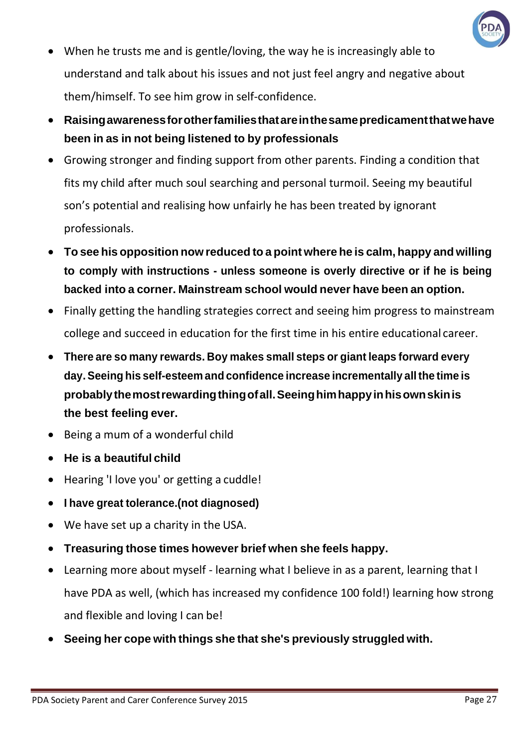

- When he trusts me and is gentle/loving, the way he is increasingly able to understand and talk about his issues and not just feel angry and negative about them/himself. To see him grow in self-confidence.
- **Raisingawarenessforotherfamiliesthatareinthesamepredicamentthatwehave been in as in not being listened to by professionals**
- Growing stronger and finding support from other parents. Finding a condition that fits my child after much soul searching and personal turmoil. Seeing my beautiful son's potential and realising how unfairly he has been treated by ignorant professionals.
- **To see his opposition now reduced to a point where he is calm, happy and willing to comply with instructions - unless someone is overly directive or if he is being backed into a corner. Mainstream school would never have been an option.**
- Finally getting the handling strategies correct and seeing him progress to mainstream college and succeed in education for the first time in his entire educational career.
- **There are so many rewards. Boy makes small steps or giant leaps forward every day.Seeing his self-esteem and confidence increase incrementally allthe time is probablythemostrewardingthingofall.Seeinghimhappyinhisownskinis the best feeling ever.**
- Being a mum of a wonderful child
- **He is a beautiful child**
- Hearing 'I love you' or getting a cuddle!
- **I have great tolerance.(not diagnosed)**
- We have set up a charity in the USA.
- **Treasuring those times however brief when she feels happy.**
- Learning more about myself learning what I believe in as a parent, learning that I have PDA as well, (which has increased my confidence 100 fold!) learning how strong and flexible and loving I can be!
- **Seeing her cope with things she that she's previously struggled with.**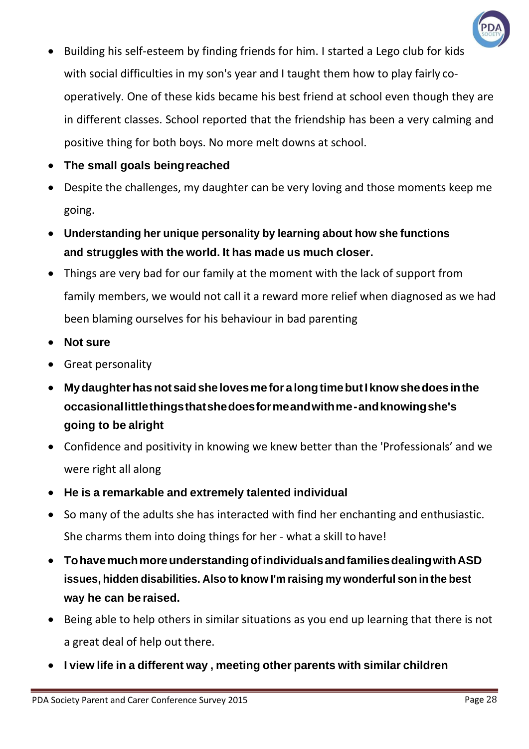

- Building his self-esteem by finding friends for him. I started a Lego club for kids with social difficulties in my son's year and I taught them how to play fairly cooperatively. One of these kids became his best friend at school even though they are in different classes. School reported that the friendship has been a very calming and positive thing for both boys. No more melt downs at school.
- **The small goals beingreached**
- Despite the challenges, my daughter can be very loving and those moments keep me going.
- **Understanding her unique personality by learning about how she functions and struggles with the world. It has made us much closer.**
- Things are very bad for our family at the moment with the lack of support from family members, we would not call it a reward more relief when diagnosed as we had been blaming ourselves for his behaviour in bad parenting
- **Not sure**
- Great personality
- **Mydaughterhasnot saidshe lovesmefor alongtimebutIknowshedoes inthe occasionallittlethingsthatshedoesformeandwithme-andknowingshe's going to be alright**
- Confidence and positivity in knowing we knew better than the 'Professionals' and we were right all along
- **He is a remarkable and extremely talented individual**
- So many of the adults she has interacted with find her enchanting and enthusiastic. She charms them into doing things for her - what a skill to have!
- **TohavemuchmoreunderstandingofindividualsandfamiliesdealingwithASD issues, hidden disabilities. Also to know I'm raising my wonderful son in the best way he can be raised.**
- Being able to help others in similar situations as you end up learning that there is not a great deal of help out there.
- **I view life in a different way , meeting other parents with similar children**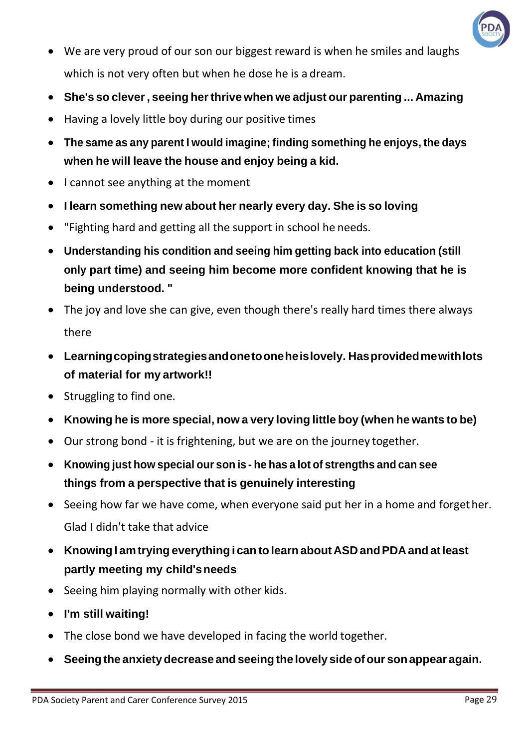

- We are very proud of our son our biggest reward is when he smiles and laughs which is not very often but when he dose he is a dream.
- **She's so clever, seeing herthrive when we adjust our parenting ... Amazing**
- Having a lovely little boy during our positive times
- **The same as any parent I would imagine; finding something he enjoys, the days when he will leave the house and enjoy being a kid.**
- I cannot see anything at the moment
- **I learn something new about her nearly every day. She is so loving**
- "Fighting hard and getting all the support in school he needs.
- **Understanding his condition and seeing him getting back into education (still only part time) and seeing him become more confident knowing that he is being understood. "**
- The joy and love she can give, even though there's really hard times there always there
- **Learningcopingstrategiesandonetooneheislovely. Hasprovidedmewithlots of material for my artwork!!**
- Struggling to find one.
- **Knowing he is more special, now a very loving little boy (when he wants to be)**
- Our strong bond it is frightening, but we are on the journey together.
- **Knowing just how special our son is - he has a lot of strengths and can see things from a perspective that is genuinely interesting**
- Seeing how far we have come, when everyone said put her in a home and forgether. Glad I didn't take that advice
- **Knowing I amtrying everything i can tolearnabout ASD andPDA and atleast partly meeting my child'sneeds**
- Seeing him playing normally with other kids.
- **I'm still waiting!**
- The close bond we have developed in facing the world together.
- **Seeingthe anxietydecrease andseeingthe lovely sideofour sonappear again.**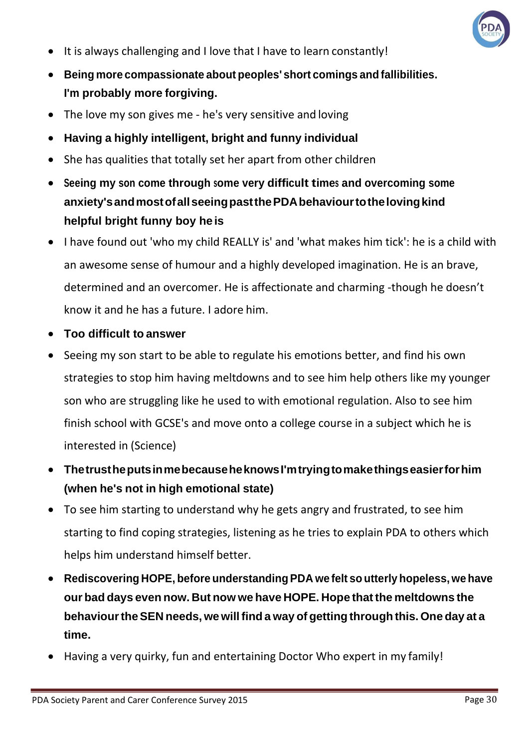

- It is always challenging and I love that I have to learn constantly!
- **Being more compassionate about peoples' short comings and fallibilities. I'm probably more forgiving.**
- The love my son gives me he's very sensitive and loving
- **Having a highly intelligent, bright and funny individual**
- She has qualities that totally set her apart from other children
- **Seeing my son come through some very difficult times and overcoming some anxiety'sandmostofallseeingpastthePDAbehaviourtothelovingkind helpful bright funny boy he is**
- I have found out 'who my child REALLY is' and 'what makes him tick': he is a child with an awesome sense of humour and a highly developed imagination. He is an brave, determined and an overcomer. He is affectionate and charming -though he doesn't know it and he has a future. I adore him.
- **Too difficult to answer**
- Seeing my son start to be able to regulate his emotions better, and find his own strategies to stop him having meltdowns and to see him help others like my younger son who are struggling like he used to with emotional regulation. Also to see him finish school with GCSE's and move onto a college course in a subject which he is interested in (Science)
- **ThetrustheputsinmebecauseheknowsI'mtryingtomakethingseasierforhim (when he's not in high emotional state)**
- To see him starting to understand why he gets angry and frustrated, to see him starting to find coping strategies, listening as he tries to explain PDA to others which helps him understand himself better.
- **Rediscovering HOPE, before understanding PDA we felt so utterly hopeless, we have our bad days even now. But now we have HOPE. Hope that the meltdowns the behaviourtheSEN needs, we willfind a way of getting through this. One day at a time.**
- Having a very quirky, fun and entertaining Doctor Who expert in my family!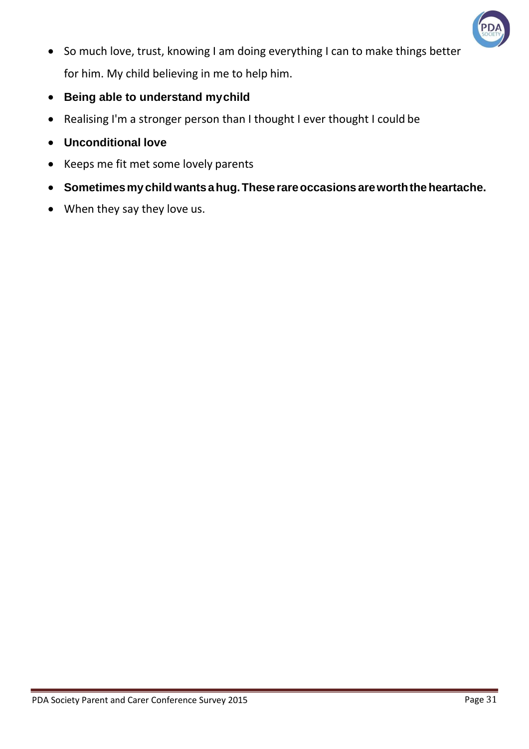

- So much love, trust, knowing I am doing everything I can to make things better for him. My child believing in me to help him.
- **Being able to understand mychild**
- Realising I'm a stronger person than I thought I ever thought I could be
- **Unconditional love**
- Keeps me fit met some lovely parents
- **Sometimesmychildwantsahug.Theserareoccasions areworththeheartache.**
- When they say they love us.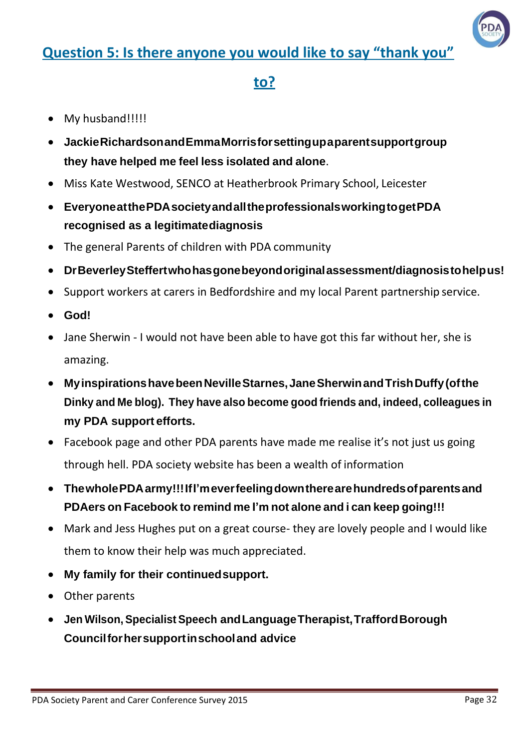#### **Question 5: Is there anyone you would like to say "thank you"**



#### **to?**

- My husband!!!!!
- **JackieRichardsonandEmmaMorrisforsettingupaparentsupportgroup they have helped me feel less isolated and alone**.
- Miss Kate Westwood, SENCO at Heatherbrook Primary School, Leicester
- **EveryoneatthePDAsocietyandalltheprofessionalsworkingtogetPDA recognised as a legitimatediagnosis**
- The general Parents of children with PDA community
- **DrBeverleySteffertwhohasgonebeyondoriginalassessment/diagnosistohelpus!**
- Support workers at carers in Bedfordshire and my local Parent partnership service.
- **God!**
- Jane Sherwin I would not have been able to have got this far without her, she is amazing.
- **MyinspirationshavebeenNevilleStarnes,JaneSherwinandTrishDuffy(ofthe Dinky and Me blog). They have also become good friends and, indeed, colleagues in my PDA support efforts.**
- Facebook page and other PDA parents have made me realise it's not just us going through hell. PDA society website has been a wealth of information
- **ThewholePDAarmy!!!IfI'meverfeelingdowntherearehundredsofparentsand PDAers on Facebook to remind me I'm not alone and i can keep going!!!**
- Mark and Jess Hughes put on a great course- they are lovely people and I would like them to know their help was much appreciated.
- **My family for their continuedsupport.**
- Other parents
- **Jen Wilson, SpecialistSpeech andLanguageTherapist,TraffordBorough Councilforhersupportinschooland advice**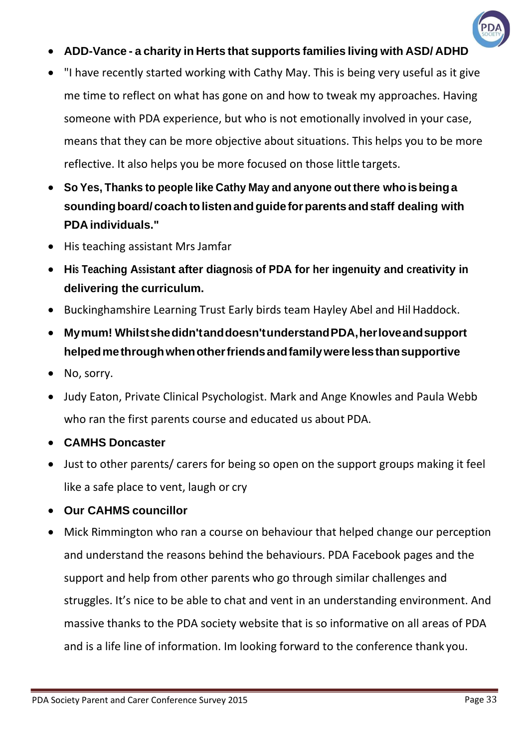

- **ADD-Vance - a charity in Herts that supports families living with ASD/ ADHD**
- "I have recently started working with Cathy May. This is being very useful as it give me time to reflect on what has gone on and how to tweak my approaches. Having someone with PDA experience, but who is not emotionally involved in your case, means that they can be more objective about situations. This helps you to be more reflective. It also helps you be more focused on those little targets.
- **So Yes, Thanks to people like Cathy May and anyone out there whoisbeinga soundingboard/ coachtolistenandguideforparents andstaff dealing with PDA individuals."**
- His teaching assistant Mrs Jamfar
- **His Teaching Assistant after diagnosis of PDA for her ingenuity and creativity in delivering the curriculum.**
- Buckinghamshire Learning Trust Early birds team Hayley Abel and Hil Haddock.
- **Mymum! Whilstshedidn'tanddoesn'tunderstandPDA,herloveandsupport helpedmethroughwhenotherfriendsandfamilywerelessthansupportive**
- No, sorry.
- Judy Eaton, Private Clinical Psychologist. Mark and Ange Knowles and Paula Webb who ran the first parents course and educated us about PDA.
- **CAMHS Doncaster**
- Just to other parents/ carers for being so open on the support groups making it feel like a safe place to vent, laugh or cry
- **Our CAHMS councillor**
- Mick Rimmington who ran a course on behaviour that helped change our perception and understand the reasons behind the behaviours. PDA Facebook pages and the support and help from other parents who go through similar challenges and struggles. It's nice to be able to chat and vent in an understanding environment. And massive thanks to the PDA society website that is so informative on all areas of PDA and is a life line of information. Im looking forward to the conference thank you.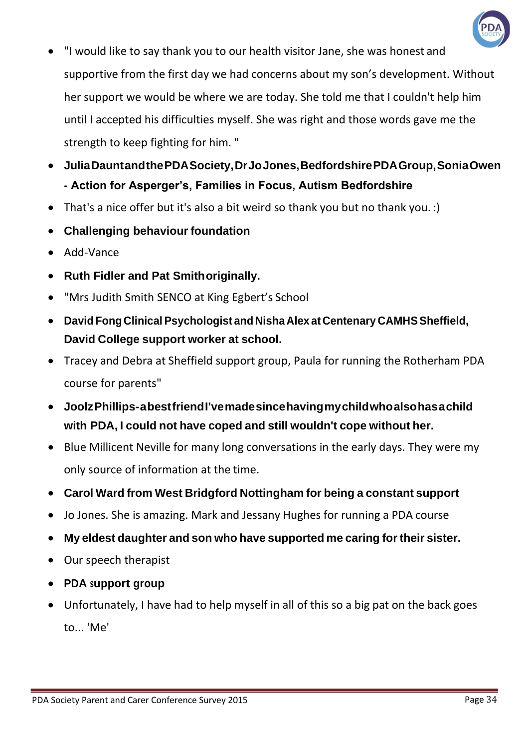

- "I would like to say thank you to our health visitor Jane, she was honest and supportive from the first day we had concerns about my son's development. Without her support we would be where we are today. She told me that I couldn't help him until I accepted his difficulties myself. She was right and those words gave me the strength to keep fighting for him. "
- **JuliaDauntandthePDASociety,DrJoJones,BedfordshirePDAGroup,SoniaOwen - Action for Asperger's, Families in Focus, Autism Bedfordshire**
- That's a nice offer but it's also a bit weird so thank you but no thank you. :)
- **Challenging behaviour foundation**
- Add-Vance
- **Ruth Fidler and Pat Smithoriginally.**
- "Mrs Judith Smith SENCO at King Egbert's School
- **David FongClinicalPsychologist and Nisha Alex at Centenary CAMHSSheffield, David College support worker at school.**
- Tracey and Debra at Sheffield support group, Paula for running the Rotherham PDA course for parents"
- **JoolzPhillips-abestfriendI'vemadesincehavingmychildwhoalsohasachild with PDA, I could not have coped and still wouldn't cope without her.**
- Blue Millicent Neville for many long conversations in the early days. They were my only source of information at the time.
- **Carol Ward from West Bridgford Nottingham for being a constant support**
- Jo Jones. She is amazing. Mark and Jessany Hughes for running a PDA course
- **My eldest daughter and son who have supported me caring fortheir sister.**
- Our speech therapist
- **PDA support group**
- Unfortunately, I have had to help myself in all of this so a big pat on the back goes to... 'Me'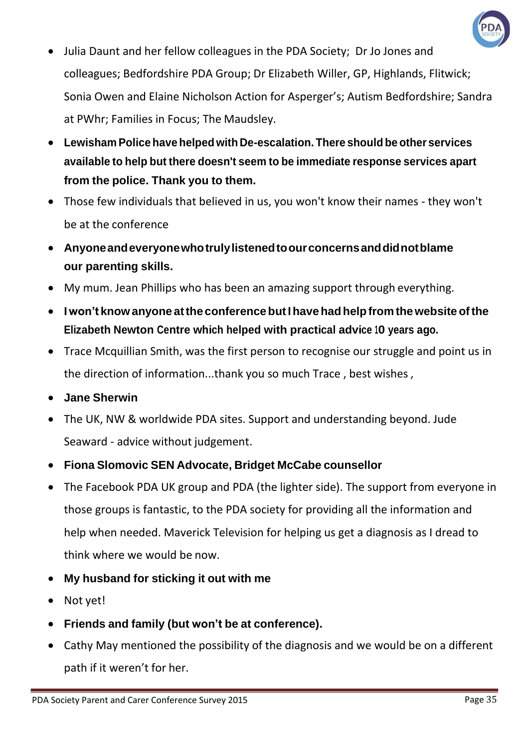

- Julia Daunt and her fellow colleagues in the PDA Society; Dr Jo Jones and colleagues; Bedfordshire PDA Group; Dr Elizabeth Willer, GP, Highlands, Flitwick; Sonia Owen and Elaine Nicholson Action for Asperger's; Autism Bedfordshire; Sandra at PWhr; Families in Focus; The Maudsley.
- **Lewisham Police have helped with De-escalation. There should be other services available to help but there doesn't seem to be immediate response services apart from the police. Thank you to them.**
- Those few individuals that believed in us, you won't know their names they won't be at the conference
- **Anyoneandeveryonewhotrulylistenedtoourconcernsanddidnotblame our parenting skills.**
- My mum. Jean Phillips who has been an amazing support through everything.
- **Iwon't knowanyone atthe conferencebutIhavehadhelpfrom thewebsiteofthe Elizabeth Newton Centre which helped with practical advice 10 years ago.**
- Trace Mcquillian Smith, was the first person to recognise our struggle and point us in the direction of information...thank you so much Trace , best wishes,
- **Jane Sherwin**
- The UK, NW & worldwide PDA sites. Support and understanding beyond. Jude Seaward - advice without judgement.
- **Fiona Slomovic SEN Advocate, Bridget McCabe counsellor**
- The Facebook PDA UK group and PDA (the lighter side). The support from everyone in those groups is fantastic, to the PDA society for providing all the information and help when needed. Maverick Television for helping us get a diagnosis as I dread to think where we would be now.
- **My husband for sticking it out with me**
- Not yet!
- **Friends and family (but won't be at conference).**
- Cathy May mentioned the possibility of the diagnosis and we would be on a different path if it weren't for her.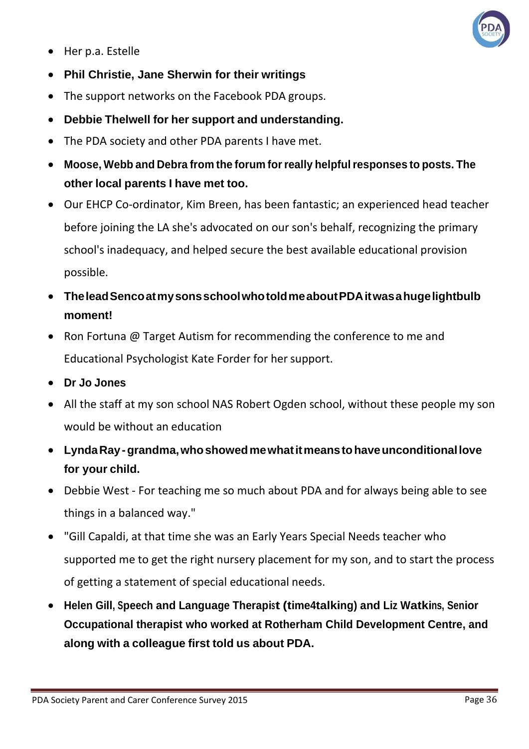

- Her p.a. Estelle
- **Phil Christie, Jane Sherwin for their writings**
- The support networks on the Facebook PDA groups.
- **Debbie Thelwell for her support and understanding.**
- The PDA society and other PDA parents I have met.
- **Moose, Webb and Debra from the forum forreally helpfulresponses to posts. The other local parents I have met too.**
- Our EHCP Co-ordinator, Kim Breen, has been fantastic; an experienced head teacher before joining the LA she's advocated on our son's behalf, recognizing the primary school's inadequacy, and helped secure the best available educational provision possible.
- **TheleadSencoatmysonsschoolwhotoldmeaboutPDAitwasahugelightbulb moment!**
- Ron Fortuna @ Target Autism for recommending the conference to me and Educational Psychologist Kate Forder for hersupport.
- **Dr Jo Jones**
- All the staff at my son school NAS Robert Ogden school, without these people my son would be without an education
- **LyndaRay-grandma,whoshowedmewhatitmeanstohaveunconditionallove for your child.**
- Debbie West For teaching me so much about PDA and for always being able to see things in a balanced way."
- "Gill Capaldi, at that time she was an Early Years Special Needs teacher who supported me to get the right nursery placement for my son, and to start the process of getting a statement of special educational needs.
- **Helen Gill, Speech and Language Therapist (time4talking) and Liz Watkins, Senior Occupational therapist who worked at Rotherham Child Development Centre, and along with a colleague first told us about PDA.**